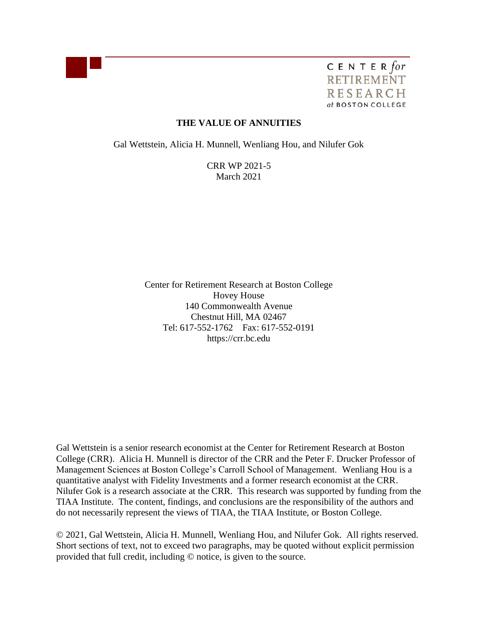

CENTER for **RETIREMENT RESEARCH** at BOSTON COLLEGE

## **THE VALUE OF ANNUITIES**

Gal Wettstein, Alicia H. Munnell, Wenliang Hou, and Nilufer Gok

CRR WP 2021-5 March 2021

Center for Retirement Research at Boston College Hovey House 140 Commonwealth Avenue Chestnut Hill, MA 02467 Tel: 617-552-1762 Fax: 617-552-0191 https://crr.bc.edu

Gal Wettstein is a senior research economist at the Center for Retirement Research at Boston College (CRR). Alicia H. Munnell is director of the CRR and the Peter F. Drucker Professor of Management Sciences at Boston College's Carroll School of Management. Wenliang Hou is a quantitative analyst with Fidelity Investments and a former research economist at the CRR. Nilufer Gok is a research associate at the CRR. This research was supported by funding from the TIAA Institute. The content, findings, and conclusions are the responsibility of the authors and do not necessarily represent the views of TIAA, the TIAA Institute, or Boston College.

© 2021, Gal Wettstein, Alicia H. Munnell, Wenliang Hou, and Nilufer Gok. All rights reserved. Short sections of text, not to exceed two paragraphs, may be quoted without explicit permission provided that full credit, including © notice, is given to the source.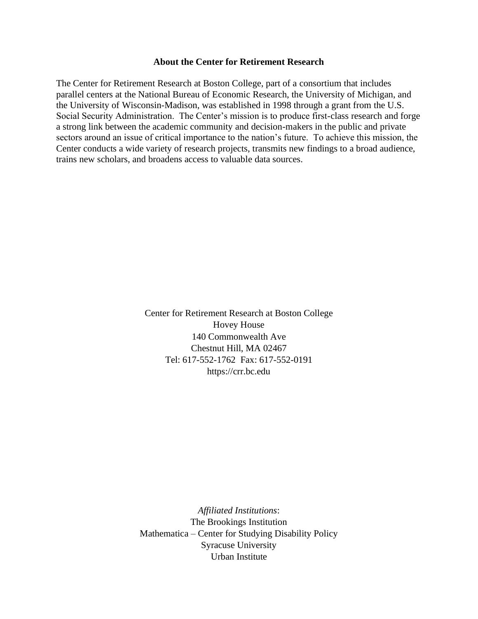#### **About the Center for Retirement Research**

The Center for Retirement Research at Boston College, part of a consortium that includes parallel centers at the National Bureau of Economic Research, the University of Michigan, and the University of Wisconsin-Madison, was established in 1998 through a grant from the U.S. Social Security Administration. The Center's mission is to produce first-class research and forge a strong link between the academic community and decision-makers in the public and private sectors around an issue of critical importance to the nation's future. To achieve this mission, the Center conducts a wide variety of research projects, transmits new findings to a broad audience, trains new scholars, and broadens access to valuable data sources.

> Center for Retirement Research at Boston College Hovey House 140 Commonwealth Ave Chestnut Hill, MA 02467 Tel: 617-552-1762 Fax: 617-552-0191 [https://crr.bc.edu](https://crr.bc.edu/)

*Affiliated Institutions*: The Brookings Institution Mathematica – Center for Studying Disability Policy Syracuse University Urban Institute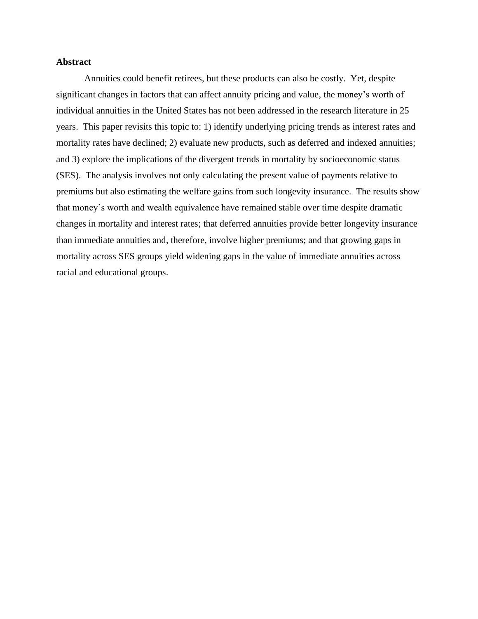#### **Abstract**

Annuities could benefit retirees, but these products can also be costly. Yet, despite significant changes in factors that can affect annuity pricing and value, the money's worth of individual annuities in the United States has not been addressed in the research literature in 25 years. This paper revisits this topic to: 1) identify underlying pricing trends as interest rates and mortality rates have declined; 2) evaluate new products, such as deferred and indexed annuities; and 3) explore the implications of the divergent trends in mortality by socioeconomic status (SES). The analysis involves not only calculating the present value of payments relative to premiums but also estimating the welfare gains from such longevity insurance. The results show that money's worth and wealth equivalence have remained stable over time despite dramatic changes in mortality and interest rates; that deferred annuities provide better longevity insurance than immediate annuities and, therefore, involve higher premiums; and that growing gaps in mortality across SES groups yield widening gaps in the value of immediate annuities across racial and educational groups.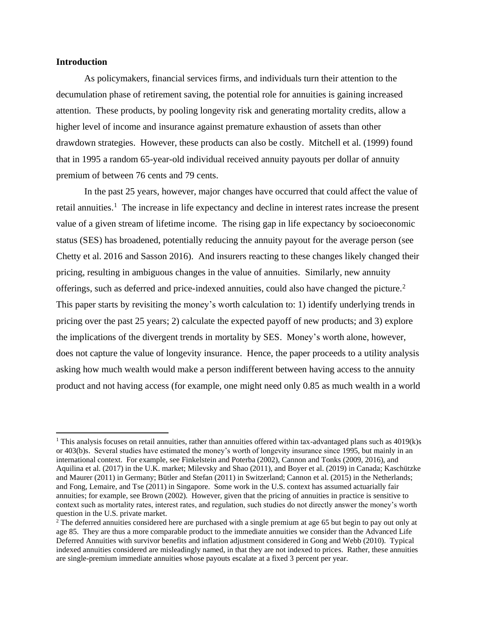#### **Introduction**

As policymakers, financial services firms, and individuals turn their attention to the decumulation phase of retirement saving, the potential role for annuities is gaining increased attention. These products, by pooling longevity risk and generating mortality credits, allow a higher level of income and insurance against premature exhaustion of assets than other drawdown strategies. However, these products can also be costly. Mitchell et al. (1999) found that in 1995 a random 65-year-old individual received annuity payouts per dollar of annuity premium of between 76 cents and 79 cents.

In the past 25 years, however, major changes have occurred that could affect the value of retail annuities.<sup>1</sup> The increase in life expectancy and decline in interest rates increase the present value of a given stream of lifetime income. The rising gap in life expectancy by socioeconomic status (SES) has broadened, potentially reducing the annuity payout for the average person (see Chetty et al. 2016 and Sasson 2016). And insurers reacting to these changes likely changed their pricing, resulting in ambiguous changes in the value of annuities. Similarly, new annuity offerings, such as deferred and price-indexed annuities, could also have changed the picture.<sup>2</sup> This paper starts by revisiting the money's worth calculation to: 1) identify underlying trends in pricing over the past 25 years; 2) calculate the expected payoff of new products; and 3) explore the implications of the divergent trends in mortality by SES. Money's worth alone, however, does not capture the value of longevity insurance. Hence, the paper proceeds to a utility analysis asking how much wealth would make a person indifferent between having access to the annuity product and not having access (for example, one might need only 0.85 as much wealth in a world

<sup>&</sup>lt;sup>1</sup> This analysis focuses on retail annuities, rather than annuities offered within tax-advantaged plans such as  $4019(k)s$ or 403(b)s. Several studies have estimated the money's worth of longevity insurance since 1995, but mainly in an international context. For example, see Finkelstein and Poterba (2002), Cannon and Tonks (2009, 2016), and Aquilina et al. (2017) in the U.K. market; Milevsky and Shao (2011), and Boyer et al. (2019) in Canada; Kaschützke and Maurer (2011) in Germany; Bütler and Stefan (2011) in Switzerland; Cannon et al. (2015) in the Netherlands; and Fong, Lemaire, and Tse (2011) in Singapore. Some work in the U.S. context has assumed actuarially fair annuities; for example, see Brown (2002). However, given that the pricing of annuities in practice is sensitive to context such as mortality rates, interest rates, and regulation, such studies do not directly answer the money's worth question in the U.S. private market.

<sup>&</sup>lt;sup>2</sup> The deferred annuities considered here are purchased with a single premium at age 65 but begin to pay out only at age 85. They are thus a more comparable product to the immediate annuities we consider than the Advanced Life Deferred Annuities with survivor benefits and inflation adjustment considered in Gong and Webb (2010). Typical indexed annuities considered are misleadingly named, in that they are not indexed to prices. Rather, these annuities are single-premium immediate annuities whose payouts escalate at a fixed 3 percent per year.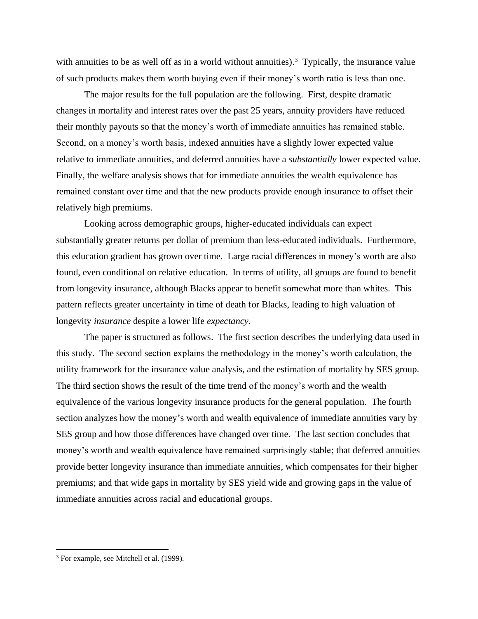with annuities to be as well off as in a world without annuities).<sup>3</sup> Typically, the insurance value of such products makes them worth buying even if their money's worth ratio is less than one.

The major results for the full population are the following. First, despite dramatic changes in mortality and interest rates over the past 25 years, annuity providers have reduced their monthly payouts so that the money's worth of immediate annuities has remained stable. Second, on a money's worth basis, indexed annuities have a slightly lower expected value relative to immediate annuities, and deferred annuities have a *substantially* lower expected value. Finally, the welfare analysis shows that for immediate annuities the wealth equivalence has remained constant over time and that the new products provide enough insurance to offset their relatively high premiums.

Looking across demographic groups, higher-educated individuals can expect substantially greater returns per dollar of premium than less-educated individuals. Furthermore, this education gradient has grown over time. Large racial differences in money's worth are also found, even conditional on relative education. In terms of utility, all groups are found to benefit from longevity insurance, although Blacks appear to benefit somewhat more than whites. This pattern reflects greater uncertainty in time of death for Blacks, leading to high valuation of longevity *insurance* despite a lower life *expectancy*.

The paper is structured as follows. The first section describes the underlying data used in this study. The second section explains the methodology in the money's worth calculation, the utility framework for the insurance value analysis, and the estimation of mortality by SES group. The third section shows the result of the time trend of the money's worth and the wealth equivalence of the various longevity insurance products for the general population. The fourth section analyzes how the money's worth and wealth equivalence of immediate annuities vary by SES group and how those differences have changed over time. The last section concludes that money's worth and wealth equivalence have remained surprisingly stable; that deferred annuities provide better longevity insurance than immediate annuities, which compensates for their higher premiums; and that wide gaps in mortality by SES yield wide and growing gaps in the value of immediate annuities across racial and educational groups.

<sup>&</sup>lt;sup>3</sup> For example, see Mitchell et al. (1999).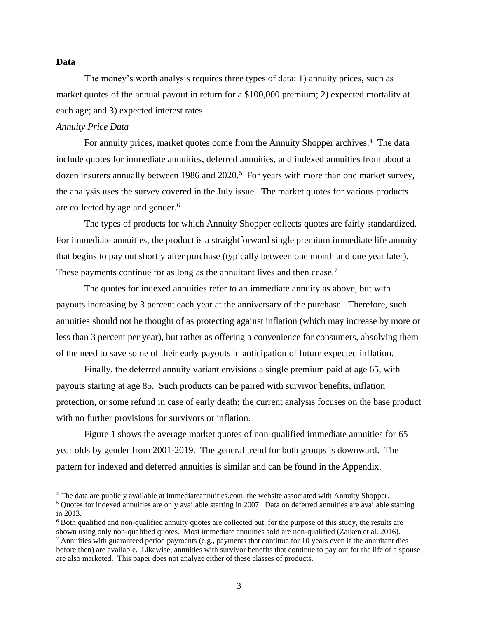#### **Data**

The money's worth analysis requires three types of data: 1) annuity prices, such as market quotes of the annual payout in return for a \$100,000 premium; 2) expected mortality at each age; and 3) expected interest rates.

### *Annuity Price Data*

For annuity prices, market quotes come from the Annuity Shopper archives.<sup>4</sup> The data include quotes for immediate annuities, deferred annuities, and indexed annuities from about a dozen insurers annually between 1986 and 2020.<sup>5</sup> For years with more than one market survey, the analysis uses the survey covered in the July issue. The market quotes for various products are collected by age and gender. 6

The types of products for which Annuity Shopper collects quotes are fairly standardized. For immediate annuities, the product is a straightforward single premium immediate life annuity that begins to pay out shortly after purchase (typically between one month and one year later). These payments continue for as long as the annuitant lives and then cease.<sup>7</sup>

The quotes for indexed annuities refer to an immediate annuity as above, but with payouts increasing by 3 percent each year at the anniversary of the purchase. Therefore, such annuities should not be thought of as protecting against inflation (which may increase by more or less than 3 percent per year), but rather as offering a convenience for consumers, absolving them of the need to save some of their early payouts in anticipation of future expected inflation.

Finally, the deferred annuity variant envisions a single premium paid at age 65, with payouts starting at age 85. Such products can be paired with survivor benefits, inflation protection, or some refund in case of early death; the current analysis focuses on the base product with no further provisions for survivors or inflation.

Figure 1 shows the average market quotes of non-qualified immediate annuities for 65 year olds by gender from 2001-2019. The general trend for both groups is downward. The pattern for indexed and deferred annuities is similar and can be found in the Appendix.

<sup>&</sup>lt;sup>4</sup> The data are publicly available at immediateannuities.com, the website associated with Annuity Shopper.

 $<sup>5</sup>$  Quotes for indexed annuities are only available starting in 2007. Data on deferred annuities are available starting</sup> in 2013.

<sup>6</sup> Both qualified and non-qualified annuity quotes are collected but, for the purpose of this study, the results are shown using only non-qualified quotes. Most immediate annuities sold are non-qualified (Zaiken et al. 2016).

 $^7$  Annuities with guaranteed period payments (e.g., payments that continue for 10 years even if the annuitant dies before then) are available. Likewise, annuities with survivor benefits that continue to pay out for the life of a spouse are also marketed. This paper does not analyze either of these classes of products.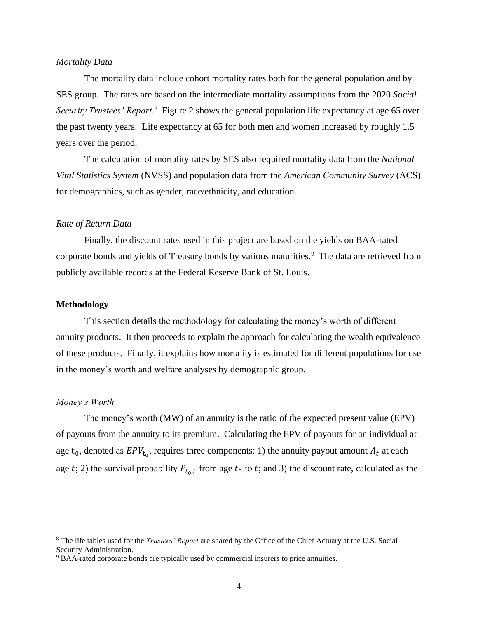#### *Mortality Data*

The mortality data include cohort mortality rates both for the general population and by SES group. The rates are based on the intermediate mortality assumptions from the 2020 *Social*  Security Trustees' Report.<sup>8</sup> Figure 2 shows the general population life expectancy at age 65 over the past twenty years. Life expectancy at 65 for both men and women increased by roughly 1.5 years over the period.

The calculation of mortality rates by SES also required mortality data from the *National Vital Statistics System* (NVSS) and population data from the *American Community Survey* (ACS) for demographics, such as gender, race/ethnicity, and education.

#### *Rate of Return Data*

Finally, the discount rates used in this project are based on the yields on BAA-rated corporate bonds and yields of Treasury bonds by various maturities. 9 The data are retrieved from publicly available records at the Federal Reserve Bank of St. Louis.

### **Methodology**

This section details the methodology for calculating the money's worth of different annuity products. It then proceeds to explain the approach for calculating the wealth equivalence of these products. Finally, it explains how mortality is estimated for different populations for use in the money's worth and welfare analyses by demographic group.

#### *Money's Worth*

The money's worth (MW) of an annuity is the ratio of the expected present value (EPV) of payouts from the annuity to its premium. Calculating the EPV of payouts for an individual at age  $t_0$ , denoted as  $EPV_{t_0}$ , requires three components: 1) the annuity payout amount  $A_t$  at each age t; 2) the survival probability  $P_{t_0,t}$  from age  $t_0$  to t; and 3) the discount rate, calculated as the

<sup>8</sup> The life tables used for the *Trustees' Report* are shared by the Office of the Chief Actuary at the U.S. Social Security Administration.

<sup>9</sup> BAA-rated corporate bonds are typically used by commercial insurers to price annuities.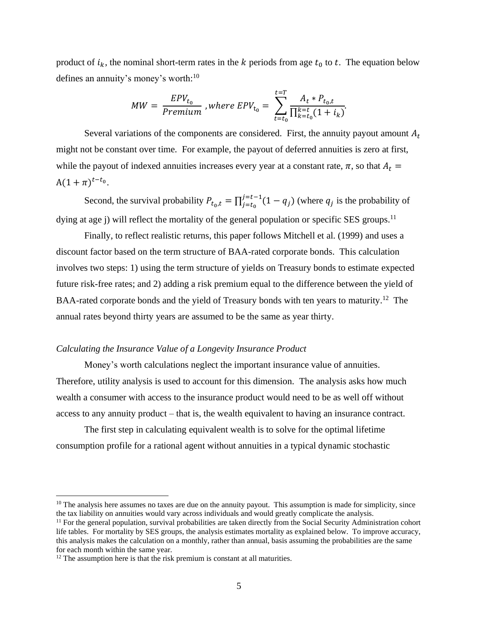product of  $i_k$ , the nominal short-term rates in the k periods from age  $t_0$  to t. The equation below defines an annuity's money's worth:<sup>10</sup>

$$
MW = \frac{EPV_{t_0}}{Premium}, where EPV_{t_0} = \sum_{t=t_0}^{t=T} \frac{A_t * P_{t_0, t}}{\prod_{k=t_0}^{k=t} (1 + i_k)}.
$$

Several variations of the components are considered. First, the annuity payout amount  $A_t$ might not be constant over time. For example, the payout of deferred annuities is zero at first, while the payout of indexed annuities increases every year at a constant rate,  $\pi$ , so that  $A_t$  =  $A(1+\pi)^{t-t_0}.$ 

Second, the survival probability  $P_{t_0,t} = \prod_{j=t_0}^{j=t-1} (1 - q_j)$  $j=t_0^{-1}(1-q_j)$  (where  $q_j$  is the probability of dying at age j) will reflect the mortality of the general population or specific SES groups.<sup>11</sup>

Finally, to reflect realistic returns, this paper follows Mitchell et al. (1999) and uses a discount factor based on the term structure of BAA-rated corporate bonds. This calculation involves two steps: 1) using the term structure of yields on Treasury bonds to estimate expected future risk-free rates; and 2) adding a risk premium equal to the difference between the yield of BAA-rated corporate bonds and the yield of Treasury bonds with ten years to maturity.<sup>12</sup> The annual rates beyond thirty years are assumed to be the same as year thirty.

#### *Calculating the Insurance Value of a Longevity Insurance Product*

Money's worth calculations neglect the important insurance value of annuities. Therefore, utility analysis is used to account for this dimension. The analysis asks how much wealth a consumer with access to the insurance product would need to be as well off without access to any annuity product – that is, the wealth equivalent to having an insurance contract.

The first step in calculating equivalent wealth is to solve for the optimal lifetime consumption profile for a rational agent without annuities in a typical dynamic stochastic

 $10$  The analysis here assumes no taxes are due on the annuity payout. This assumption is made for simplicity, since the tax liability on annuities would vary across individuals and would greatly complicate the analysis.

 $11$  For the general population, survival probabilities are taken directly from the Social Security Administration cohort life tables. For mortality by SES groups, the analysis estimates mortality as explained below. To improve accuracy, this analysis makes the calculation on a monthly, rather than annual, basis assuming the probabilities are the same for each month within the same year.

 $12$  The assumption here is that the risk premium is constant at all maturities.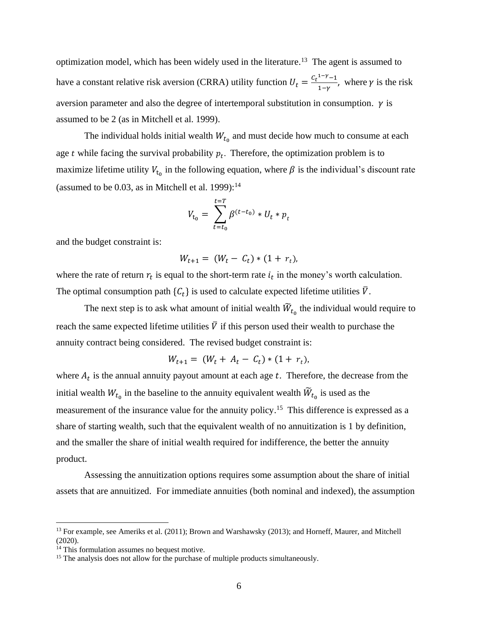optimization model, which has been widely used in the literature.<sup>13</sup> The agent is assumed to have a constant relative risk aversion (CRRA) utility function  $U_t = \frac{C_t^{1-\gamma}-1}{1-\gamma}$  $\frac{1-\gamma}{1-\gamma}$ , where  $\gamma$  is the risk aversion parameter and also the degree of intertemporal substitution in consumption.  $\gamma$  is assumed to be 2 (as in Mitchell et al. 1999).

The individual holds initial wealth  $W_{t_0}$  and must decide how much to consume at each age  $t$  while facing the survival probability  $p_t$ . Therefore, the optimization problem is to maximize lifetime utility  $V_{t_0}$  in the following equation, where  $\beta$  is the individual's discount rate (assumed to be  $0.03$ , as in Mitchell et al. 1999):<sup>14</sup>

$$
V_{t_0} = \sum_{t=t_0}^{t=T} \beta^{(t-t_0)} * U_t * p_t
$$

and the budget constraint is:

$$
W_{t+1} = (W_t - C_t) * (1 + r_t),
$$

where the rate of return  $r_t$  is equal to the short-term rate  $i_t$  in the money's worth calculation. The optimal consumption path  $\{C_t\}$  is used to calculate expected lifetime utilities  $\bar{V}$ .

The next step is to ask what amount of initial wealth  $\widetilde{W}_{t_0}$  the individual would require to reach the same expected lifetime utilities  $\overline{V}$  if this person used their wealth to purchase the annuity contract being considered. The revised budget constraint is:

$$
W_{t+1} = (W_t + A_t - C_t) * (1 + r_t),
$$

where  $A_t$  is the annual annuity payout amount at each age  $t$ . Therefore, the decrease from the initial wealth  $W_{t_0}$  in the baseline to the annuity equivalent wealth  $\widetilde{W}_{t_0}$  is used as the measurement of the insurance value for the annuity policy.<sup>15</sup> This difference is expressed as a share of starting wealth, such that the equivalent wealth of no annuitization is 1 by definition, and the smaller the share of initial wealth required for indifference, the better the annuity product.

Assessing the annuitization options requires some assumption about the share of initial assets that are annuitized. For immediate annuities (both nominal and indexed), the assumption

<sup>&</sup>lt;sup>13</sup> For example, see Ameriks et al. (2011); Brown and Warshawsky (2013); and Horneff, Maurer, and Mitchell (2020).

<sup>&</sup>lt;sup>14</sup> This formulation assumes no bequest motive.

<sup>&</sup>lt;sup>15</sup> The analysis does not allow for the purchase of multiple products simultaneously.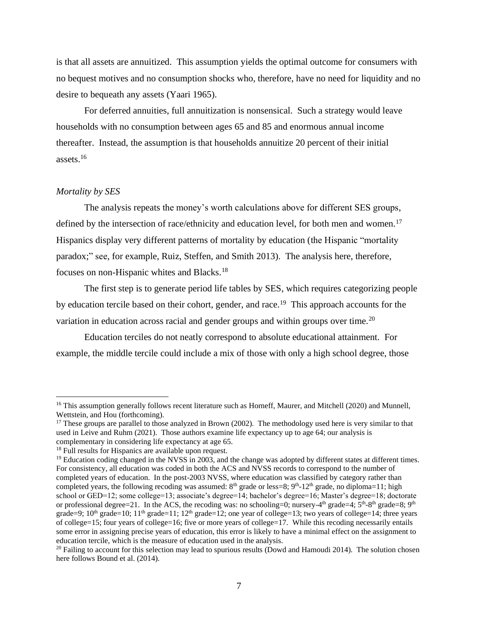is that all assets are annuitized. This assumption yields the optimal outcome for consumers with no bequest motives and no consumption shocks who, therefore, have no need for liquidity and no desire to bequeath any assets (Yaari 1965).

For deferred annuities, full annuitization is nonsensical. Such a strategy would leave households with no consumption between ages 65 and 85 and enormous annual income thereafter. Instead, the assumption is that households annuitize 20 percent of their initial assets.<sup>16</sup>

### *Mortality by SES*

The analysis repeats the money's worth calculations above for different SES groups, defined by the intersection of race/ethnicity and education level, for both men and women.<sup>17</sup> Hispanics display very different patterns of mortality by education (the Hispanic "mortality paradox;" see, for example, Ruiz, Steffen, and Smith 2013). The analysis here, therefore, focuses on non-Hispanic whites and Blacks.<sup>18</sup>

The first step is to generate period life tables by SES, which requires categorizing people by education tercile based on their cohort, gender, and race.<sup>19</sup> This approach accounts for the variation in education across racial and gender groups and within groups over time.<sup>20</sup>

Education terciles do not neatly correspond to absolute educational attainment. For example, the middle tercile could include a mix of those with only a high school degree, those

<sup>&</sup>lt;sup>16</sup> This assumption generally follows recent literature such as Horneff, Maurer, and Mitchell (2020) and Munnell, Wettstein, and Hou (forthcoming).

<sup>&</sup>lt;sup>17</sup> These groups are parallel to those analyzed in Brown  $(2002)$ . The methodology used here is very similar to that used in Leive and Ruhm (2021). Those authors examine life expectancy up to age 64; our analysis is complementary in considering life expectancy at age 65.

<sup>&</sup>lt;sup>18</sup> Full results for Hispanics are available upon request.

<sup>&</sup>lt;sup>19</sup> Education coding changed in the NVSS in 2003, and the change was adopted by different states at different times. For consistency, all education was coded in both the ACS and NVSS records to correspond to the number of completed years of education. In the post-2003 NVSS, where education was classified by category rather than completed years, the following recoding was assumed:  $8<sup>th</sup>$  grade or less=8;  $9<sup>th</sup>$ -12<sup>th</sup> grade, no diploma=11; high school or GED=12; some college=13; associate's degree=14; bachelor's degree=16; Master's degree=18; doctorate or professional degree=21. In the ACS, the recoding was: no schooling=0; nursery-4<sup>th</sup> grade=4;  $5<sup>th</sup>$ -8<sup>th</sup> grade=8; 9<sup>th</sup> grade=9;  $10<sup>th</sup>$  grade=10;  $11<sup>th</sup>$  grade=11;  $12<sup>th</sup>$  grade=12; one year of college=13; two years of college=14; three years of college=15; four years of college=16; five or more years of college=17. While this recoding necessarily entails some error in assigning precise years of education, this error is likely to have a minimal effect on the assignment to education tercile, which is the measure of education used in the analysis.

 $20$  Failing to account for this selection may lead to spurious results (Dowd and Hamoudi 2014). The solution chosen here follows Bound et al. (2014).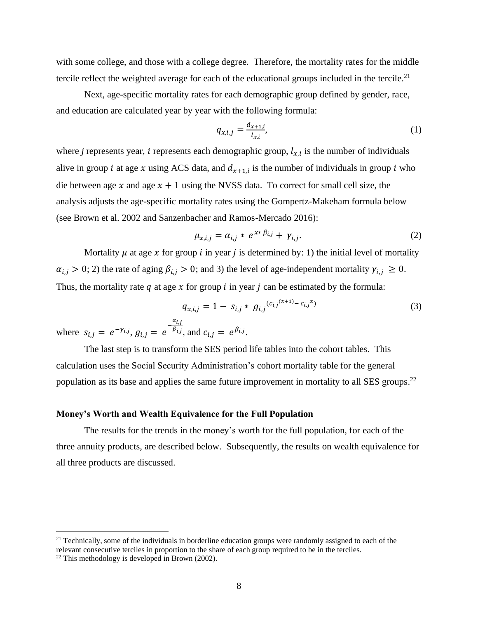with some college, and those with a college degree. Therefore, the mortality rates for the middle tercile reflect the weighted average for each of the educational groups included in the tercile.<sup>21</sup>

Next, age-specific mortality rates for each demographic group defined by gender, race, and education are calculated year by year with the following formula:

$$
q_{x,i,j} = \frac{d_{x+1,i}}{l_{x,i}},
$$
 (1)

where *j* represents year, *i* represents each demographic group,  $l_{x,i}$  is the number of individuals alive in group *i* at age *x* using ACS data, and  $d_{x+1,i}$  is the number of individuals in group *i* who die between age x and age  $x + 1$  using the NVSS data. To correct for small cell size, the analysis adjusts the age-specific mortality rates using the Gompertz-Makeham formula below (see Brown et al. 2002 and Sanzenbacher and Ramos-Mercado 2016):

$$
\mu_{x,i,j} = \alpha_{i,j} * e^{x * \beta_{i,j}} + \gamma_{i,j}.
$$
\n<sup>(2)</sup>

Mortality  $\mu$  at age x for group *i* in year *j* is determined by: 1) the initial level of mortality  $\alpha_{i,j} > 0$ ; 2) the rate of aging  $\beta_{i,j} > 0$ ; and 3) the level of age-independent mortality  $\gamma_{i,j} \geq 0$ . Thus, the mortality rate  $q$  at age  $x$  for group  $i$  in year  $j$  can be estimated by the formula:

$$
q_{x,i,j} = 1 - s_{i,j} * g_{i,j}^{(c_{i,j}(x+1) - c_{i,j}x)} \tag{3}
$$

where  $s_{i,j} = e^{-\gamma_{i,j}}, g_{i,j} = e^{-\frac{\alpha_{i,j}}{\beta_{i,j}}}$  $^{\beta_{i,j}}$ , and  $c_{i,j} = e^{\beta_{i,j}}$ .

The last step is to transform the SES period life tables into the cohort tables. This calculation uses the Social Security Administration's cohort mortality table for the general population as its base and applies the same future improvement in mortality to all SES groups.<sup>22</sup>

## **Money's Worth and Wealth Equivalence for the Full Population**

The results for the trends in the money's worth for the full population, for each of the three annuity products, are described below. Subsequently, the results on wealth equivalence for all three products are discussed.

 $21$  Technically, some of the individuals in borderline education groups were randomly assigned to each of the relevant consecutive terciles in proportion to the share of each group required to be in the terciles.

 $22$  This methodology is developed in Brown (2002).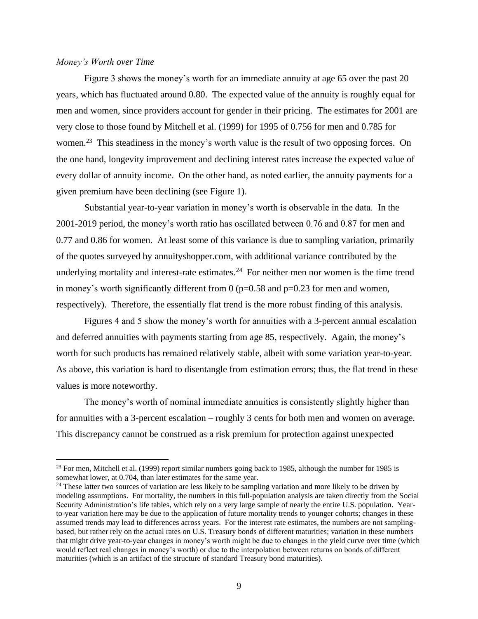#### *Money's Worth over Time*

Figure 3 shows the money's worth for an immediate annuity at age 65 over the past 20 years, which has fluctuated around 0.80. The expected value of the annuity is roughly equal for men and women, since providers account for gender in their pricing. The estimates for 2001 are very close to those found by Mitchell et al. (1999) for 1995 of 0.756 for men and 0.785 for women.<sup>23</sup> This steadiness in the money's worth value is the result of two opposing forces. On the one hand, longevity improvement and declining interest rates increase the expected value of every dollar of annuity income. On the other hand, as noted earlier, the annuity payments for a given premium have been declining (see Figure 1).

Substantial year-to-year variation in money's worth is observable in the data. In the 2001-2019 period, the money's worth ratio has oscillated between 0.76 and 0.87 for men and 0.77 and 0.86 for women. At least some of this variance is due to sampling variation, primarily of the quotes surveyed by annuityshopper.com, with additional variance contributed by the underlying mortality and interest-rate estimates. $24$  For neither men nor women is the time trend in money's worth significantly different from  $0$  ( $p=0.58$  and  $p=0.23$  for men and women, respectively). Therefore, the essentially flat trend is the more robust finding of this analysis.

Figures 4 and 5 show the money's worth for annuities with a 3-percent annual escalation and deferred annuities with payments starting from age 85, respectively. Again, the money's worth for such products has remained relatively stable, albeit with some variation year-to-year. As above, this variation is hard to disentangle from estimation errors; thus, the flat trend in these values is more noteworthy.

The money's worth of nominal immediate annuities is consistently slightly higher than for annuities with a 3-percent escalation – roughly 3 cents for both men and women on average. This discrepancy cannot be construed as a risk premium for protection against unexpected

<sup>&</sup>lt;sup>23</sup> For men, Mitchell et al. (1999) report similar numbers going back to 1985, although the number for 1985 is somewhat lower, at 0.704, than later estimates for the same year.

<sup>&</sup>lt;sup>24</sup> These latter two sources of variation are less likely to be sampling variation and more likely to be driven by modeling assumptions. For mortality, the numbers in this full-population analysis are taken directly from the Social Security Administration's life tables, which rely on a very large sample of nearly the entire U.S. population. Yearto-year variation here may be due to the application of future mortality trends to younger cohorts; changes in these assumed trends may lead to differences across years. For the interest rate estimates, the numbers are not samplingbased, but rather rely on the actual rates on U.S. Treasury bonds of different maturities; variation in these numbers that might drive year-to-year changes in money's worth might be due to changes in the yield curve over time (which would reflect real changes in money's worth) or due to the interpolation between returns on bonds of different maturities (which is an artifact of the structure of standard Treasury bond maturities).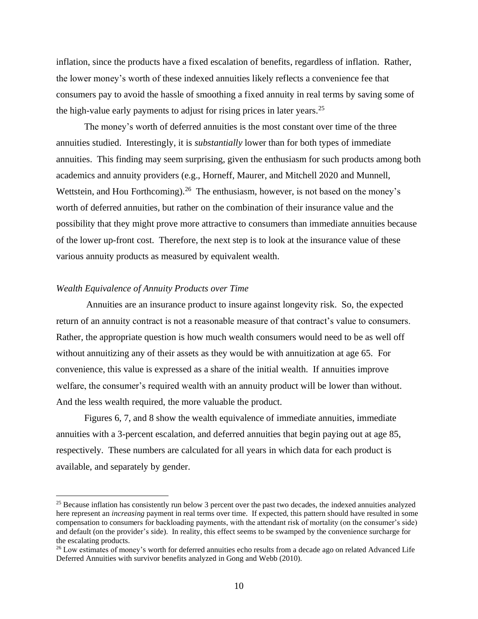inflation, since the products have a fixed escalation of benefits, regardless of inflation. Rather, the lower money's worth of these indexed annuities likely reflects a convenience fee that consumers pay to avoid the hassle of smoothing a fixed annuity in real terms by saving some of the high-value early payments to adjust for rising prices in later years.<sup>25</sup>

The money's worth of deferred annuities is the most constant over time of the three annuities studied. Interestingly, it is *substantially* lower than for both types of immediate annuities. This finding may seem surprising, given the enthusiasm for such products among both academics and annuity providers (e.g., Horneff, Maurer, and Mitchell 2020 and Munnell, Wettstein, and Hou Forthcoming).<sup>26</sup> The enthusiasm, however, is not based on the money's worth of deferred annuities, but rather on the combination of their insurance value and the possibility that they might prove more attractive to consumers than immediate annuities because of the lower up-front cost. Therefore, the next step is to look at the insurance value of these various annuity products as measured by equivalent wealth.

#### *Wealth Equivalence of Annuity Products over Time*

Annuities are an insurance product to insure against longevity risk. So, the expected return of an annuity contract is not a reasonable measure of that contract's value to consumers. Rather, the appropriate question is how much wealth consumers would need to be as well off without annuitizing any of their assets as they would be with annuitization at age 65. For convenience, this value is expressed as a share of the initial wealth. If annuities improve welfare, the consumer's required wealth with an annuity product will be lower than without. And the less wealth required, the more valuable the product.

Figures 6, 7, and 8 show the wealth equivalence of immediate annuities, immediate annuities with a 3-percent escalation, and deferred annuities that begin paying out at age 85, respectively. These numbers are calculated for all years in which data for each product is available, and separately by gender.

<sup>&</sup>lt;sup>25</sup> Because inflation has consistently run below 3 percent over the past two decades, the indexed annuities analyzed here represent an *increasing* payment in real terms over time. If expected, this pattern should have resulted in some compensation to consumers for backloading payments, with the attendant risk of mortality (on the consumer's side) and default (on the provider's side). In reality, this effect seems to be swamped by the convenience surcharge for the escalating products.

<sup>&</sup>lt;sup>26</sup> Low estimates of money's worth for deferred annuities echo results from a decade ago on related Advanced Life Deferred Annuities with survivor benefits analyzed in Gong and Webb (2010).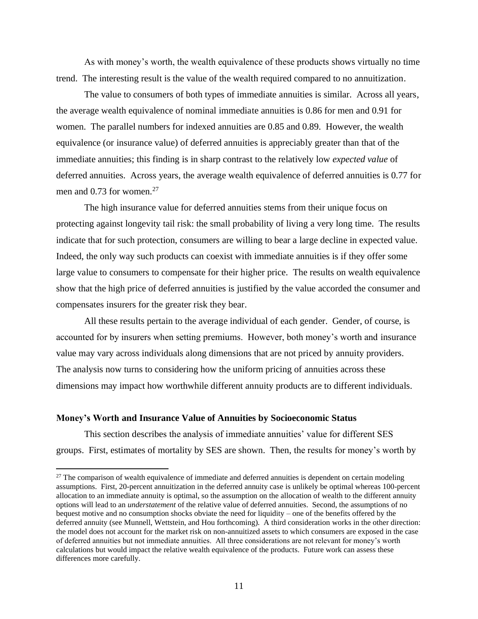As with money's worth, the wealth equivalence of these products shows virtually no time trend. The interesting result is the value of the wealth required compared to no annuitization.

The value to consumers of both types of immediate annuities is similar. Across all years, the average wealth equivalence of nominal immediate annuities is 0.86 for men and 0.91 for women. The parallel numbers for indexed annuities are 0.85 and 0.89. However, the wealth equivalence (or insurance value) of deferred annuities is appreciably greater than that of the immediate annuities; this finding is in sharp contrast to the relatively low *expected value* of deferred annuities. Across years, the average wealth equivalence of deferred annuities is 0.77 for men and  $0.73$  for women.<sup>27</sup>

The high insurance value for deferred annuities stems from their unique focus on protecting against longevity tail risk: the small probability of living a very long time. The results indicate that for such protection, consumers are willing to bear a large decline in expected value. Indeed, the only way such products can coexist with immediate annuities is if they offer some large value to consumers to compensate for their higher price. The results on wealth equivalence show that the high price of deferred annuities is justified by the value accorded the consumer and compensates insurers for the greater risk they bear.

All these results pertain to the average individual of each gender. Gender, of course, is accounted for by insurers when setting premiums. However, both money's worth and insurance value may vary across individuals along dimensions that are not priced by annuity providers. The analysis now turns to considering how the uniform pricing of annuities across these dimensions may impact how worthwhile different annuity products are to different individuals.

#### **Money's Worth and Insurance Value of Annuities by Socioeconomic Status**

This section describes the analysis of immediate annuities' value for different SES groups. First, estimates of mortality by SES are shown. Then, the results for money's worth by

 $27$  The comparison of wealth equivalence of immediate and deferred annuities is dependent on certain modeling assumptions. First, 20-percent annuitization in the deferred annuity case is unlikely be optimal whereas 100-percent allocation to an immediate annuity is optimal, so the assumption on the allocation of wealth to the different annuity options will lead to an *understatement* of the relative value of deferred annuities. Second, the assumptions of no bequest motive and no consumption shocks obviate the need for liquidity – one of the benefits offered by the deferred annuity (see Munnell, Wettstein, and Hou forthcoming). A third consideration works in the other direction: the model does not account for the market risk on non-annuitized assets to which consumers are exposed in the case of deferred annuities but not immediate annuities. All three considerations are not relevant for money's worth calculations but would impact the relative wealth equivalence of the products. Future work can assess these differences more carefully.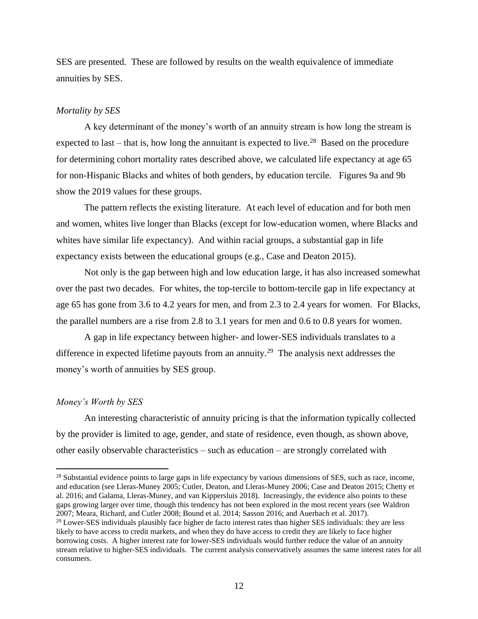SES are presented. These are followed by results on the wealth equivalence of immediate annuities by SES.

#### *Mortality by SES*

A key determinant of the money's worth of an annuity stream is how long the stream is expected to last – that is, how long the annuitant is expected to live.<sup>28</sup> Based on the procedure for determining cohort mortality rates described above, we calculated life expectancy at age 65 for non-Hispanic Blacks and whites of both genders, by education tercile. Figures 9a and 9b show the 2019 values for these groups.

The pattern reflects the existing literature. At each level of education and for both men and women, whites live longer than Blacks (except for low-education women, where Blacks and whites have similar life expectancy). And within racial groups, a substantial gap in life expectancy exists between the educational groups (e.g., Case and Deaton 2015).

Not only is the gap between high and low education large, it has also increased somewhat over the past two decades. For whites, the top-tercile to bottom-tercile gap in life expectancy at age 65 has gone from 3.6 to 4.2 years for men, and from 2.3 to 2.4 years for women. For Blacks, the parallel numbers are a rise from 2.8 to 3.1 years for men and 0.6 to 0.8 years for women.

A gap in life expectancy between higher- and lower-SES individuals translates to a difference in expected lifetime payouts from an annuity.<sup>29</sup> The analysis next addresses the money's worth of annuities by SES group.

#### *Money's Worth by SES*

An interesting characteristic of annuity pricing is that the information typically collected by the provider is limited to age, gender, and state of residence, even though, as shown above, other easily observable characteristics – such as education – are strongly correlated with

<sup>&</sup>lt;sup>28</sup> Substantial evidence points to large gaps in life expectancy by various dimensions of SES, such as race, income, and education (see Lleras-Muney 2005; Cutler, Deaton, and Lleras-Muney 2006; Case and Deaton 2015; Chetty et al. 2016; and Galama, Lleras-Muney, and van Kippersluis 2018). Increasingly, the evidence also points to these gaps growing larger over time, though this tendency has not been explored in the most recent years (see Waldron 2007; Meara, Richard, and Cutler 2008; Bound et al. 2014; Sasson 2016; and Auerbach et al. 2017).

<sup>&</sup>lt;sup>29</sup> Lower-SES individuals plausibly face higher de facto interest rates than higher SES individuals: they are less likely to have access to credit markets, and when they do have access to credit they are likely to face higher borrowing costs. A higher interest rate for lower-SES individuals would further reduce the value of an annuity stream relative to higher-SES individuals. The current analysis conservatively assumes the same interest rates for all consumers.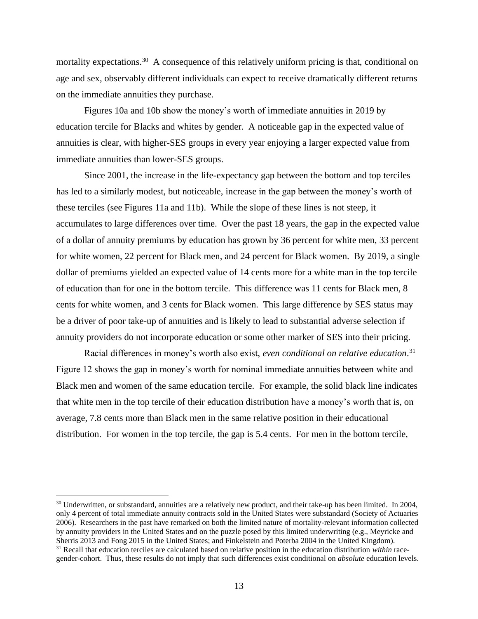mortality expectations.<sup>30</sup> A consequence of this relatively uniform pricing is that, conditional on age and sex, observably different individuals can expect to receive dramatically different returns on the immediate annuities they purchase.

Figures 10a and 10b show the money's worth of immediate annuities in 2019 by education tercile for Blacks and whites by gender. A noticeable gap in the expected value of annuities is clear, with higher-SES groups in every year enjoying a larger expected value from immediate annuities than lower-SES groups.

Since 2001, the increase in the life-expectancy gap between the bottom and top terciles has led to a similarly modest, but noticeable, increase in the gap between the money's worth of these terciles (see Figures 11a and 11b). While the slope of these lines is not steep, it accumulates to large differences over time. Over the past 18 years, the gap in the expected value of a dollar of annuity premiums by education has grown by 36 percent for white men, 33 percent for white women, 22 percent for Black men, and 24 percent for Black women. By 2019, a single dollar of premiums yielded an expected value of 14 cents more for a white man in the top tercile of education than for one in the bottom tercile. This difference was 11 cents for Black men, 8 cents for white women, and 3 cents for Black women. This large difference by SES status may be a driver of poor take-up of annuities and is likely to lead to substantial adverse selection if annuity providers do not incorporate education or some other marker of SES into their pricing.

Racial differences in money's worth also exist, *even conditional on relative education*. 31 Figure 12 shows the gap in money's worth for nominal immediate annuities between white and Black men and women of the same education tercile. For example, the solid black line indicates that white men in the top tercile of their education distribution have a money's worth that is, on average, 7.8 cents more than Black men in the same relative position in their educational distribution. For women in the top tercile, the gap is 5.4 cents. For men in the bottom tercile,

 $30$  Underwritten, or substandard, annuities are a relatively new product, and their take-up has been limited. In 2004, only 4 percent of total immediate annuity contracts sold in the United States were substandard (Society of Actuaries 2006). Researchers in the past have remarked on both the limited nature of mortality-relevant information collected by annuity providers in the United States and on the puzzle posed by this limited underwriting (e.g., Meyricke and Sherris 2013 and Fong 2015 in the United States; and Finkelstein and Poterba 2004 in the United Kingdom). <sup>31</sup> Recall that education terciles are calculated based on relative position in the education distribution *within* racegender-cohort. Thus, these results do not imply that such differences exist conditional on *absolute* education levels.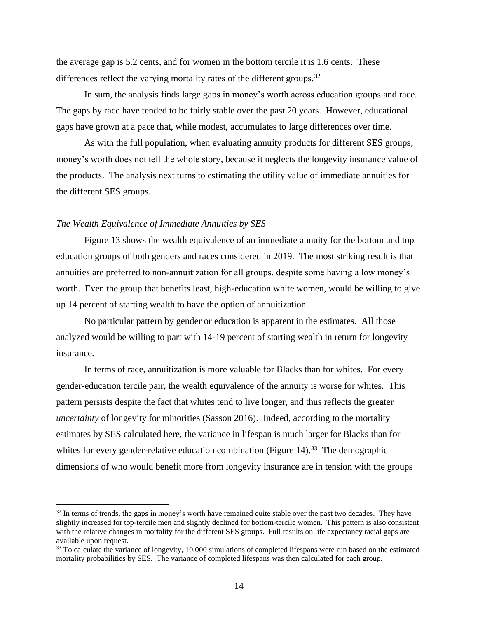the average gap is 5.2 cents, and for women in the bottom tercile it is 1.6 cents. These differences reflect the varying mortality rates of the different groups.<sup>32</sup>

In sum, the analysis finds large gaps in money's worth across education groups and race. The gaps by race have tended to be fairly stable over the past 20 years. However, educational gaps have grown at a pace that, while modest, accumulates to large differences over time.

As with the full population, when evaluating annuity products for different SES groups, money's worth does not tell the whole story, because it neglects the longevity insurance value of the products. The analysis next turns to estimating the utility value of immediate annuities for the different SES groups.

#### *The Wealth Equivalence of Immediate Annuities by SES*

Figure 13 shows the wealth equivalence of an immediate annuity for the bottom and top education groups of both genders and races considered in 2019. The most striking result is that annuities are preferred to non-annuitization for all groups, despite some having a low money's worth. Even the group that benefits least, high-education white women, would be willing to give up 14 percent of starting wealth to have the option of annuitization.

No particular pattern by gender or education is apparent in the estimates. All those analyzed would be willing to part with 14-19 percent of starting wealth in return for longevity insurance.

In terms of race, annuitization is more valuable for Blacks than for whites. For every gender-education tercile pair, the wealth equivalence of the annuity is worse for whites. This pattern persists despite the fact that whites tend to live longer, and thus reflects the greater *uncertainty* of longevity for minorities (Sasson 2016). Indeed, according to the mortality estimates by SES calculated here, the variance in lifespan is much larger for Blacks than for whites for every gender-relative education combination (Figure  $14$ ).<sup>33</sup> The demographic dimensions of who would benefit more from longevity insurance are in tension with the groups

<sup>&</sup>lt;sup>32</sup> In terms of trends, the gaps in money's worth have remained quite stable over the past two decades. They have slightly increased for top-tercile men and slightly declined for bottom-tercile women. This pattern is also consistent with the relative changes in mortality for the different SES groups. Full results on life expectancy racial gaps are available upon request.

<sup>&</sup>lt;sup>33</sup> To calculate the variance of longevity, 10,000 simulations of completed lifespans were run based on the estimated mortality probabilities by SES. The variance of completed lifespans was then calculated for each group.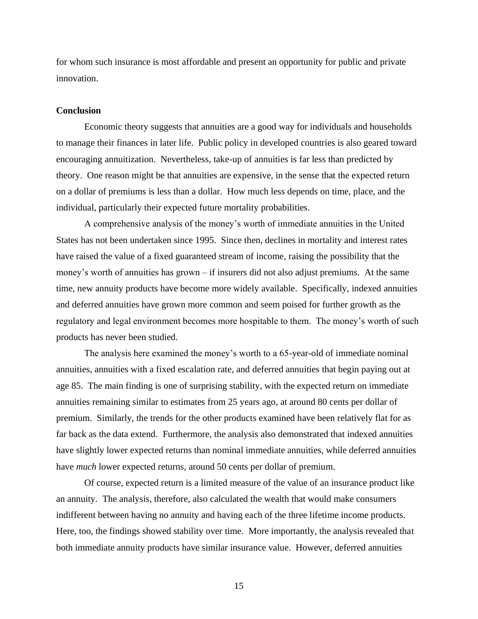for whom such insurance is most affordable and present an opportunity for public and private innovation.

#### **Conclusion**

Economic theory suggests that annuities are a good way for individuals and households to manage their finances in later life. Public policy in developed countries is also geared toward encouraging annuitization. Nevertheless, take-up of annuities is far less than predicted by theory. One reason might be that annuities are expensive, in the sense that the expected return on a dollar of premiums is less than a dollar. How much less depends on time, place, and the individual, particularly their expected future mortality probabilities.

A comprehensive analysis of the money's worth of immediate annuities in the United States has not been undertaken since 1995. Since then, declines in mortality and interest rates have raised the value of a fixed guaranteed stream of income, raising the possibility that the money's worth of annuities has grown – if insurers did not also adjust premiums. At the same time, new annuity products have become more widely available. Specifically, indexed annuities and deferred annuities have grown more common and seem poised for further growth as the regulatory and legal environment becomes more hospitable to them. The money's worth of such products has never been studied.

The analysis here examined the money's worth to a 65-year-old of immediate nominal annuities, annuities with a fixed escalation rate, and deferred annuities that begin paying out at age 85. The main finding is one of surprising stability, with the expected return on immediate annuities remaining similar to estimates from 25 years ago, at around 80 cents per dollar of premium. Similarly, the trends for the other products examined have been relatively flat for as far back as the data extend. Furthermore, the analysis also demonstrated that indexed annuities have slightly lower expected returns than nominal immediate annuities, while deferred annuities have *much* lower expected returns, around 50 cents per dollar of premium.

Of course, expected return is a limited measure of the value of an insurance product like an annuity. The analysis, therefore, also calculated the wealth that would make consumers indifferent between having no annuity and having each of the three lifetime income products. Here, too, the findings showed stability over time. More importantly, the analysis revealed that both immediate annuity products have similar insurance value. However, deferred annuities

15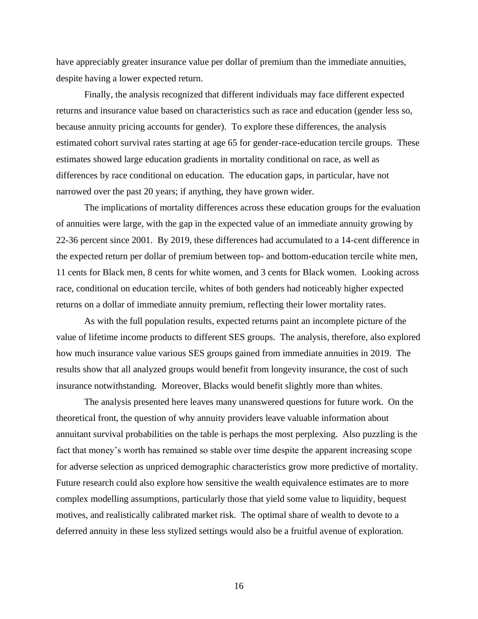have appreciably greater insurance value per dollar of premium than the immediate annuities, despite having a lower expected return.

Finally, the analysis recognized that different individuals may face different expected returns and insurance value based on characteristics such as race and education (gender less so, because annuity pricing accounts for gender). To explore these differences, the analysis estimated cohort survival rates starting at age 65 for gender-race-education tercile groups. These estimates showed large education gradients in mortality conditional on race, as well as differences by race conditional on education. The education gaps, in particular, have not narrowed over the past 20 years; if anything, they have grown wider.

The implications of mortality differences across these education groups for the evaluation of annuities were large, with the gap in the expected value of an immediate annuity growing by 22-36 percent since 2001. By 2019, these differences had accumulated to a 14-cent difference in the expected return per dollar of premium between top- and bottom-education tercile white men, 11 cents for Black men, 8 cents for white women, and 3 cents for Black women. Looking across race, conditional on education tercile, whites of both genders had noticeably higher expected returns on a dollar of immediate annuity premium, reflecting their lower mortality rates.

As with the full population results, expected returns paint an incomplete picture of the value of lifetime income products to different SES groups. The analysis, therefore, also explored how much insurance value various SES groups gained from immediate annuities in 2019. The results show that all analyzed groups would benefit from longevity insurance, the cost of such insurance notwithstanding. Moreover, Blacks would benefit slightly more than whites.

The analysis presented here leaves many unanswered questions for future work. On the theoretical front, the question of why annuity providers leave valuable information about annuitant survival probabilities on the table is perhaps the most perplexing. Also puzzling is the fact that money's worth has remained so stable over time despite the apparent increasing scope for adverse selection as unpriced demographic characteristics grow more predictive of mortality. Future research could also explore how sensitive the wealth equivalence estimates are to more complex modelling assumptions, particularly those that yield some value to liquidity, bequest motives, and realistically calibrated market risk. The optimal share of wealth to devote to a deferred annuity in these less stylized settings would also be a fruitful avenue of exploration.

16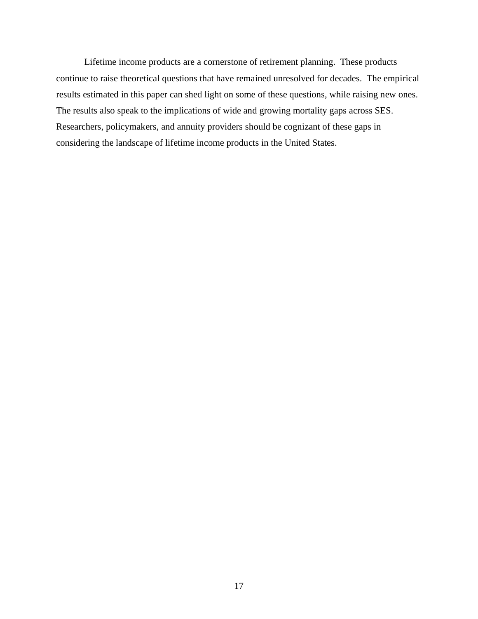Lifetime income products are a cornerstone of retirement planning. These products continue to raise theoretical questions that have remained unresolved for decades. The empirical results estimated in this paper can shed light on some of these questions, while raising new ones. The results also speak to the implications of wide and growing mortality gaps across SES. Researchers, policymakers, and annuity providers should be cognizant of these gaps in considering the landscape of lifetime income products in the United States.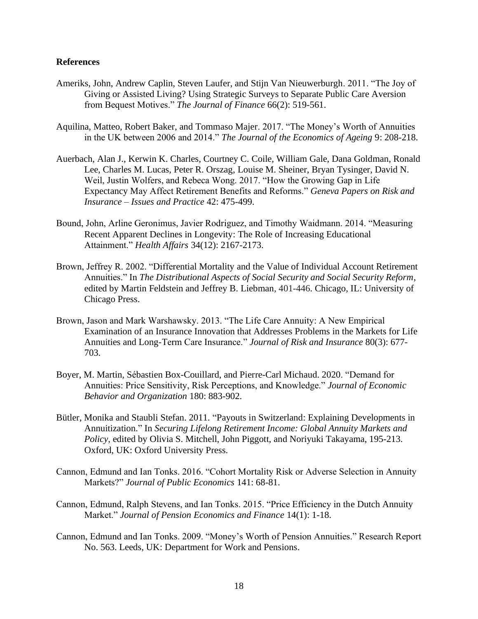#### **References**

- Ameriks, John, Andrew Caplin, Steven Laufer, and Stijn Van Nieuwerburgh. 2011. "The Joy of Giving or Assisted Living? Using Strategic Surveys to Separate Public Care Aversion from Bequest Motives." *The Journal of Finance* 66(2): 519-561.
- Aquilina, Matteo, Robert Baker, and Tommaso Majer. 2017. "The Money's Worth of Annuities in the UK between 2006 and 2014." *The Journal of the Economics of Ageing* 9: 208-218.
- Auerbach, Alan J., Kerwin K. Charles, Courtney C. Coile, William Gale, Dana Goldman, Ronald Lee, Charles M. Lucas, Peter R. Orszag, Louise M. Sheiner, Bryan Tysinger, David N. Weil, Justin Wolfers, and Rebeca Wong. 2017. "How the Growing Gap in Life Expectancy May Affect Retirement Benefits and Reforms." *Geneva Papers on Risk and Insurance – Issues and Practice* 42: 475-499.
- Bound, John, Arline Geronimus, Javier Rodriguez, and Timothy Waidmann. 2014. "Measuring Recent Apparent Declines in Longevity: The Role of Increasing Educational Attainment." *Health Affairs* 34(12): 2167-2173.
- Brown, Jeffrey R. 2002. "Differential Mortality and the Value of Individual Account Retirement Annuities." In *The Distributional Aspects of Social Security and Social Security Reform*, edited by Martin Feldstein and Jeffrey B. Liebman, 401-446. Chicago, IL: University of Chicago Press.
- Brown, Jason and Mark Warshawsky. 2013. "The Life Care Annuity: A New Empirical Examination of an Insurance Innovation that Addresses Problems in the Markets for Life Annuities and Long-Term Care Insurance." *Journal of Risk and Insurance* 80(3): 677- 703.
- Boyer, M. Martin, Sébastien Box-Couillard, and Pierre-Carl Michaud. 2020. "Demand for Annuities: Price Sensitivity, Risk Perceptions, and Knowledge." *Journal of Economic Behavior and Organization* 180: 883-902.
- Bütler, Monika and Staubli Stefan. 2011. "Payouts in Switzerland: Explaining Developments in Annuitization." In *Securing Lifelong Retirement Income: Global Annuity Markets and Policy*, edited by Olivia S. Mitchell, John Piggott, and Noriyuki Takayama, 195-213. Oxford, UK: Oxford University Press.
- Cannon, Edmund and Ian Tonks. 2016. "Cohort Mortality Risk or Adverse Selection in Annuity Markets?" *Journal of Public Economics* 141: 68-81.
- Cannon, Edmund, Ralph Stevens, and Ian Tonks. 2015. "Price Efficiency in the Dutch Annuity Market." *Journal of Pension Economics and Finance* 14(1): 1-18.
- Cannon, Edmund and Ian Tonks. 2009. "Money's Worth of Pension Annuities." Research Report No. 563. Leeds, UK: Department for Work and Pensions.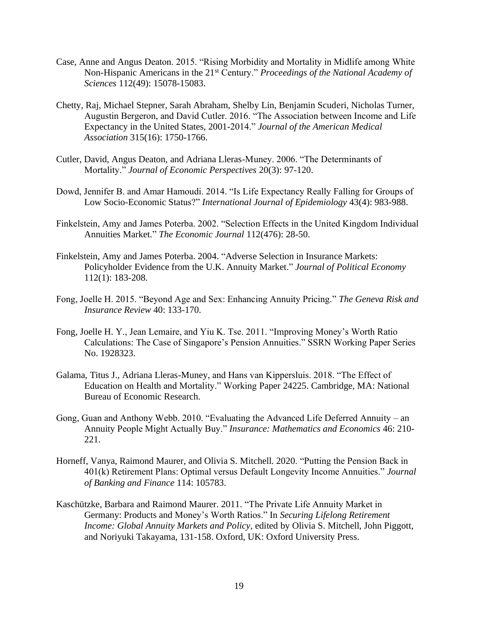- Case, Anne and Angus Deaton. 2015. "Rising Morbidity and Mortality in Midlife among White Non-Hispanic Americans in the 21<sup>st</sup> Century." *Proceedings of the National Academy of Sciences* 112(49): 15078-15083.
- Chetty, Raj, Michael Stepner, Sarah Abraham, Shelby Lin, Benjamin Scuderi, Nicholas Turner, Augustin Bergeron, and David Cutler. 2016. "The Association between Income and Life Expectancy in the United States, 2001-2014." *Journal of the American Medical Association* 315(16): 1750-1766.
- Cutler, David, Angus Deaton, and Adriana Lleras-Muney. 2006. "The Determinants of Mortality." *Journal of Economic Perspectives* 20(3): 97-120.
- Dowd, Jennifer B. and Amar Hamoudi. 2014. "Is Life Expectancy Really Falling for Groups of Low Socio-Economic Status?" *International Journal of Epidemiology* 43(4): 983-988.
- Finkelstein, Amy and James Poterba. 2002. "Selection Effects in the United Kingdom Individual Annuities Market." *The Economic Journal* 112(476): 28-50.
- Finkelstein, Amy and James Poterba. 2004. "Adverse Selection in Insurance Markets: Policyholder Evidence from the U.K. Annuity Market." *Journal of Political Economy* 112(1): 183-208.
- Fong, Joelle H. 2015. "Beyond Age and Sex: Enhancing Annuity Pricing." *The Geneva Risk and Insurance Review* 40: 133-170.
- Fong, Joelle H. Y., Jean Lemaire, and Yiu K. Tse. 2011. "Improving Money's Worth Ratio Calculations: The Case of Singapore's Pension Annuities." SSRN Working Paper Series No. 1928323.
- Galama, Titus J., Adriana Lleras-Muney, and Hans van Kippersluis. 2018. "The Effect of Education on Health and Mortality." Working Paper 24225. Cambridge, MA: National Bureau of Economic Research.
- Gong, Guan and Anthony Webb. 2010. "Evaluating the Advanced Life Deferred Annuity an Annuity People Might Actually Buy." *Insurance: Mathematics and Economics* 46: 210- 221.
- Horneff, Vanya, Raimond Maurer, and Olivia S. Mitchell. 2020. "Putting the Pension Back in 401(k) Retirement Plans: Optimal versus Default Longevity Income Annuities." *Journal of Banking and Finance* 114: 105783.
- Kaschützke, Barbara and Raimond Maurer. 2011. "The Private Life Annuity Market in Germany: Products and Money's Worth Ratios." In *Securing Lifelong Retirement Income: Global Annuity Markets and Policy,* edited by Olivia S. Mitchell, John Piggott, and Noriyuki Takayama, 131-158. Oxford, UK: Oxford University Press.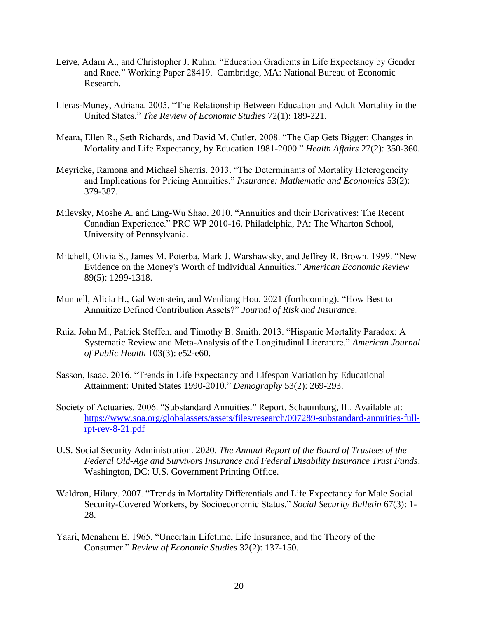- Leive, Adam A., and Christopher J. Ruhm. "Education Gradients in Life Expectancy by Gender and Race." Working Paper 28419. Cambridge, MA: National Bureau of Economic Research.
- Lleras-Muney, Adriana. 2005. "The Relationship Between Education and Adult Mortality in the United States." *The Review of Economic Studies* 72(1): 189-221.
- Meara, Ellen R., Seth Richards, and David M. Cutler. 2008. "The Gap Gets Bigger: Changes in Mortality and Life Expectancy, by Education 1981-2000." *Health Affairs* 27(2): 350-360.
- Meyricke, Ramona and Michael Sherris. 2013. "The Determinants of Mortality Heterogeneity and Implications for Pricing Annuities." *Insurance: Mathematic and Economics* 53(2): 379-387.
- Milevsky, Moshe A. and Ling-Wu Shao. 2010. "Annuities and their Derivatives: The Recent Canadian Experience." PRC WP 2010-16. Philadelphia, PA: The Wharton School, University of Pennsylvania.
- Mitchell, Olivia S., James M. Poterba, Mark J. Warshawsky, and Jeffrey R. Brown. 1999. "New Evidence on the Money's Worth of Individual Annuities." *American Economic Review* 89(5): 1299-1318.
- Munnell, Alicia H., Gal Wettstein, and Wenliang Hou. 2021 (forthcoming). "How Best to Annuitize Defined Contribution Assets?" *Journal of Risk and Insurance*.
- Ruiz, John M., Patrick Steffen, and Timothy B. Smith. 2013. "Hispanic Mortality Paradox: A Systematic Review and Meta-Analysis of the Longitudinal Literature." *American Journal of Public Health* 103(3): e52-e60.
- Sasson, Isaac. 2016. "Trends in Life Expectancy and Lifespan Variation by Educational Attainment: United States 1990-2010." *Demography* 53(2): 269-293.
- Society of Actuaries. 2006. "Substandard Annuities." Report. Schaumburg, IL. Available at: [https://www.soa.org/globalassets/assets/files/research/007289-substandard-annuities-full](https://www.soa.org/globalassets/assets/files/research/007289-substandard-annuities-full-rpt-rev-8-21.pdf)[rpt-rev-8-21.pdf](https://www.soa.org/globalassets/assets/files/research/007289-substandard-annuities-full-rpt-rev-8-21.pdf)
- U.S. Social Security Administration. 2020. *The Annual Report of the Board of Trustees of the Federal Old-Age and Survivors Insurance and Federal Disability Insurance Trust Funds*. Washington, DC: U.S. Government Printing Office.
- Waldron, Hilary. 2007. "Trends in Mortality Differentials and Life Expectancy for Male Social Security-Covered Workers, by Socioeconomic Status." *Social Security Bulletin* 67(3): 1- 28.
- Yaari, Menahem E. 1965. "Uncertain Lifetime, Life Insurance, and the Theory of the Consumer." *Review of Economic Studies* 32(2): 137-150.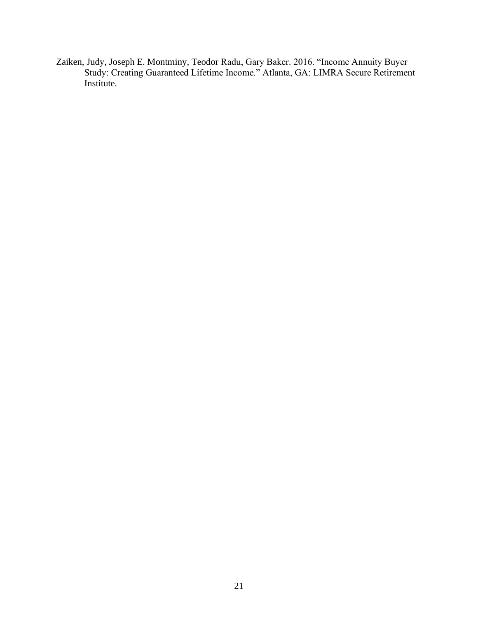Zaiken, Judy, Joseph E. Montminy, Teodor Radu, Gary Baker. 2016. "Income Annuity Buyer Study: Creating Guaranteed Lifetime Income." Atlanta, GA: LIMRA Secure Retirement Institute.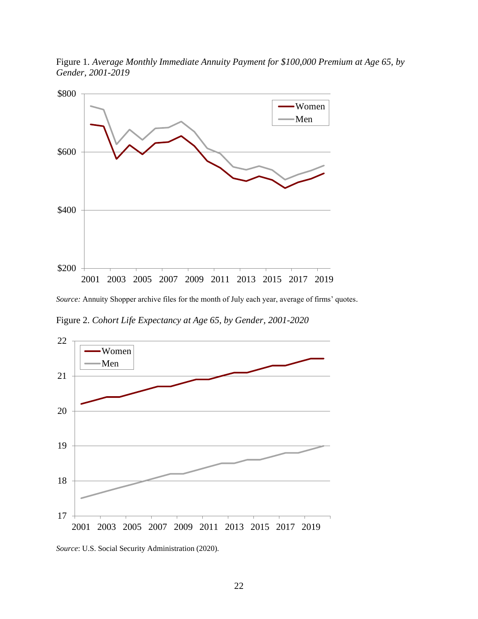

Figure 1. *Average Monthly Immediate Annuity Payment for \$100,000 Premium at Age 65, by Gender, 2001-2019*

*Source:* Annuity Shopper archive files for the month of July each year, average of firms' quotes.

Figure 2. *Cohort Life Expectancy at Age 65, by Gender, 2001-2020*



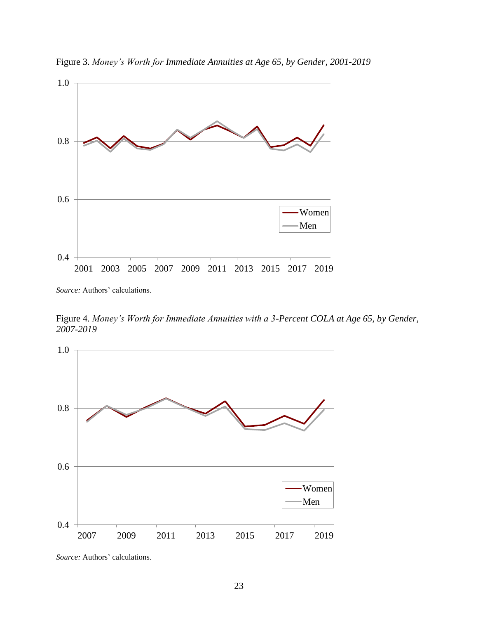

Figure 3. *Money's Worth for Immediate Annuities at Age 65, by Gender, 2001-2019*

*Source:* Authors' calculations.

Figure 4. *Money's Worth for Immediate Annuities with a 3-Percent COLA at Age 65, by Gender, 2007-2019*



*Source:* Authors' calculations.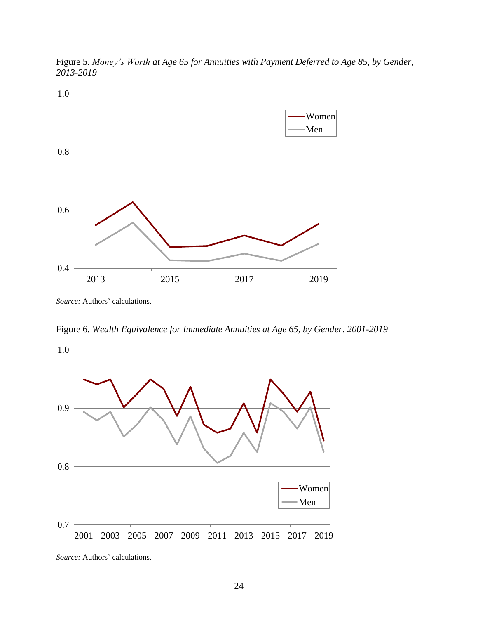

Figure 5. *Money's Worth at Age 65 for Annuities with Payment Deferred to Age 85, by Gender, 2013-2019*

*Source:* Authors' calculations.

Figure 6. *Wealth Equivalence for Immediate Annuities at Age 65, by Gender, 2001-2019*



*Source:* Authors' calculations.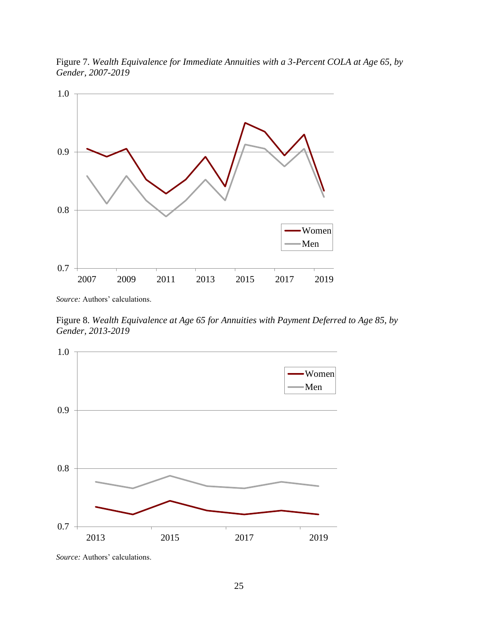



*Source:* Authors' calculations.

Figure 8. *Wealth Equivalence at Age 65 for Annuities with Payment Deferred to Age 85, by Gender, 2013-2019*



*Source:* Authors' calculations.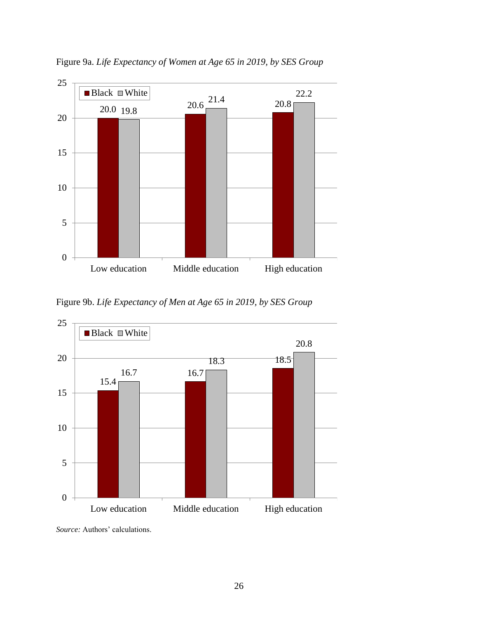

Figure 9a. *Life Expectancy of Women at Age 65 in 2019, by SES Group*

Figure 9b. *Life Expectancy of Men at Age 65 in 2019, by SES Group*



*Source:* Authors' calculations.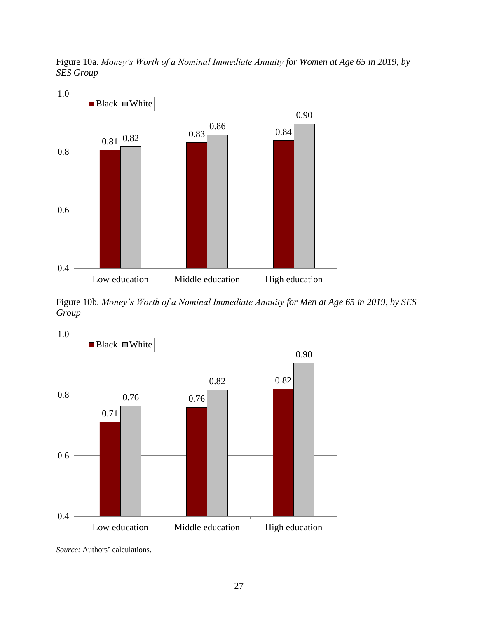

Figure 10a. *Money's Worth of a Nominal Immediate Annuity for Women at Age 65 in 2019, by SES Group*

Figure 10b. *Money's Worth of a Nominal Immediate Annuity for Men at Age 65 in 2019, by SES Group*



*Source:* Authors' calculations.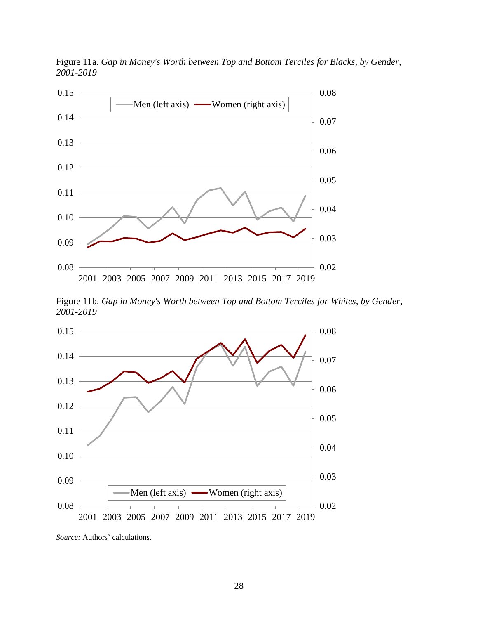

Figure 11a. *Gap in Money's Worth between Top and Bottom Terciles for Blacks, by Gender, 2001-2019*

Figure 11b. *Gap in Money's Worth between Top and Bottom Terciles for Whites, by Gender, 2001-2019*



*Source:* Authors' calculations.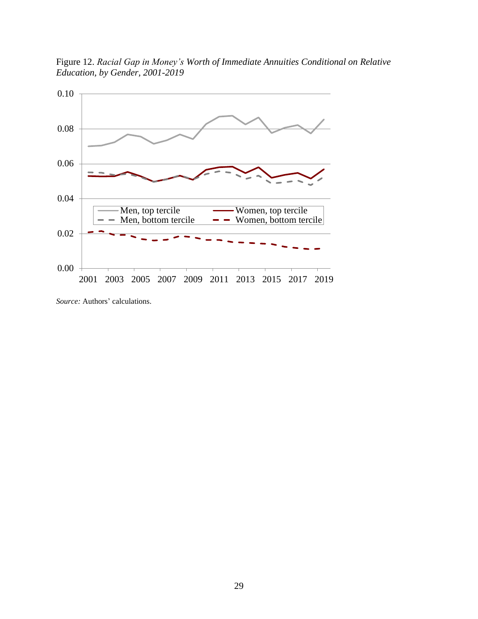



*Source:* Authors' calculations.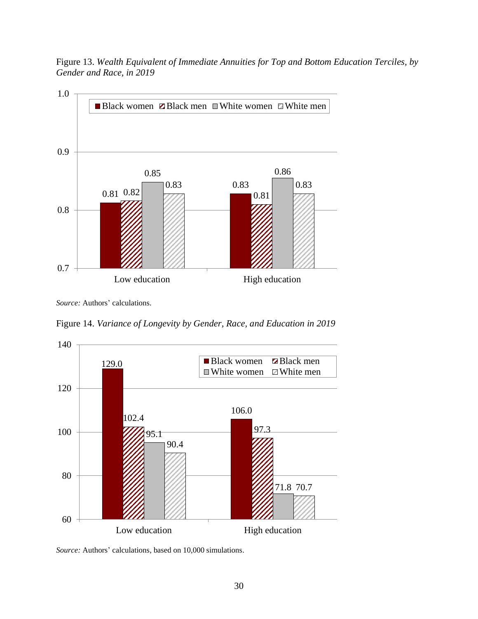Figure 13. *Wealth Equivalent of Immediate Annuities for Top and Bottom Education Terciles, by Gender and Race, in 2019*



*Source:* Authors' calculations.

Figure 14. *Variance of Longevity by Gender, Race, and Education in 2019*



*Source:* Authors' calculations, based on 10,000 simulations.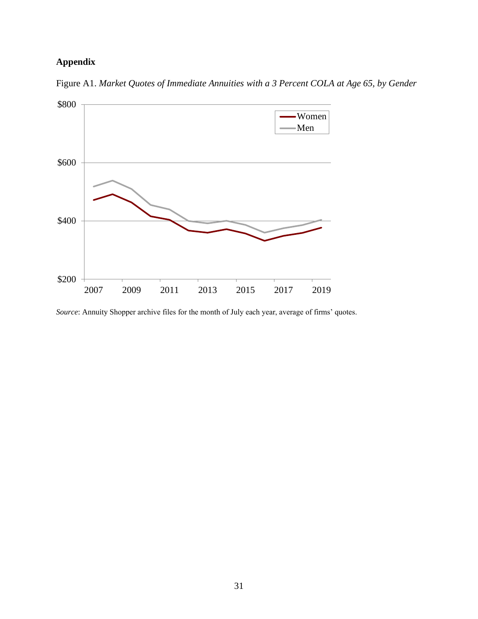# **Appendix**



Figure A1. *Market Quotes of Immediate Annuities with a 3 Percent COLA at Age 65, by Gender*

*Source*: Annuity Shopper archive files for the month of July each year, average of firms' quotes.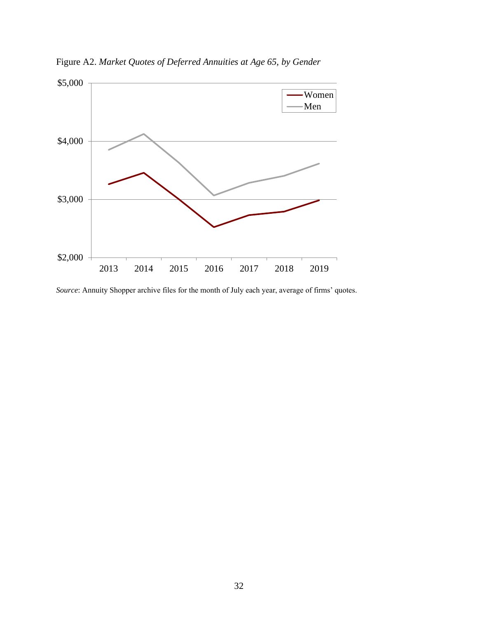

Figure A2. *Market Quotes of Deferred Annuities at Age 65, by Gender*

*Source*: Annuity Shopper archive files for the month of July each year, average of firms' quotes.